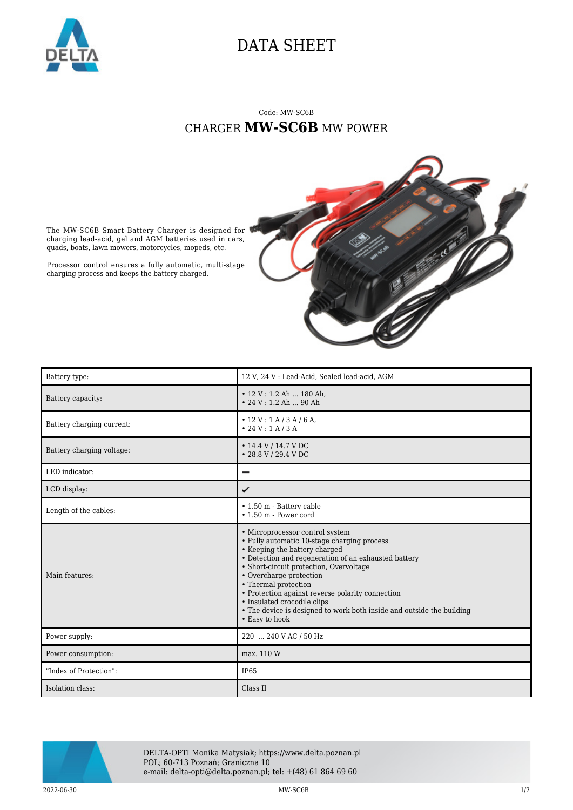

## DATA SHEET

## Code: MW-SC6B CHARGER **MW-SC6B** MW POWER



The MW-SC6B Smart Battery Charger is designed for charging lead-acid, gel and AGM batteries used in cars, quads, boats, lawn mowers, motorcycles, mopeds, etc.

Processor control ensures a fully automatic, multi-stage charging process and keeps the battery charged.

| Battery type:             | 12 V, 24 V : Lead-Acid, Sealed lead-acid, AGM                                                                                                                                                                                                                                                                                                                                                                                                       |
|---------------------------|-----------------------------------------------------------------------------------------------------------------------------------------------------------------------------------------------------------------------------------------------------------------------------------------------------------------------------------------------------------------------------------------------------------------------------------------------------|
| Battery capacity:         | $\cdot$ 12 V : 1.2 Ah  180 Ah,<br>$\cdot$ 24 V : 1.2 Ah  90 Ah                                                                                                                                                                                                                                                                                                                                                                                      |
| Battery charging current: | $\cdot$ 12 V : 1 A / 3 A / 6 A,<br>• 24 V : 1 A / 3 A                                                                                                                                                                                                                                                                                                                                                                                               |
| Battery charging voltage: | $\cdot$ 14.4 V / 14.7 V DC<br>• 28.8 V / 29.4 V DC                                                                                                                                                                                                                                                                                                                                                                                                  |
| LED indicator:            |                                                                                                                                                                                                                                                                                                                                                                                                                                                     |
| LCD display:              | ✓                                                                                                                                                                                                                                                                                                                                                                                                                                                   |
| Length of the cables:     | $\cdot$ 1.50 m - Battery cable<br>$\cdot$ 1.50 m - Power cord                                                                                                                                                                                                                                                                                                                                                                                       |
| Main features:            | • Microprocessor control system<br>• Fully automatic 10-stage charging process<br>• Keeping the battery charged<br>• Detection and regeneration of an exhausted battery<br>• Short-circuit protection, Overvoltage<br>• Overcharge protection<br>• Thermal protection<br>• Protection against reverse polarity connection<br>• Insulated crocodile clips<br>• The device is designed to work both inside and outside the building<br>• Easy to hook |
| Power supply:             | 220  240 V AC / 50 Hz                                                                                                                                                                                                                                                                                                                                                                                                                               |
| Power consumption:        | max. 110 W                                                                                                                                                                                                                                                                                                                                                                                                                                          |
| "Index of Protection":    | IP <sub>65</sub>                                                                                                                                                                                                                                                                                                                                                                                                                                    |
| Isolation class:          | Class II                                                                                                                                                                                                                                                                                                                                                                                                                                            |



DELTA-OPTI Monika Matysiak; https://www.delta.poznan.pl POL; 60-713 Poznań; Graniczna 10 e-mail: delta-opti@delta.poznan.pl; tel: +(48) 61 864 69 60